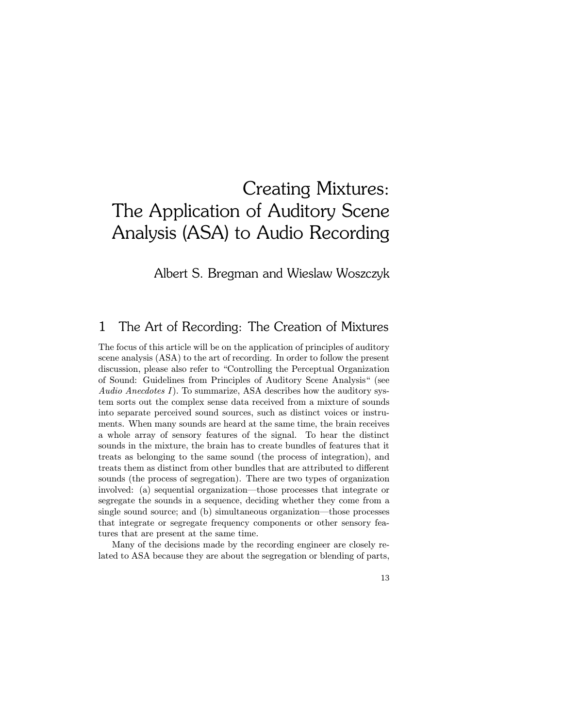# Creating Mixtures: The Application of Auditory Scene Analysis (ASA) to Audio Recording

Albert S. Bregman and Wieslaw Woszczyk

# 1 The Art of Recording: The Creation of Mixtures

The focus of this article will be on the application of principles of auditory scene analysis (ASA) to the art of recording. In order to follow the present discussion, please also refer to "Controlling the Perceptual Organization of Sound: Guidelines from Principles of Auditory Scene Analysis" (see Audio Anecdotes I). To summarize, ASA describes how the auditory system sorts out the complex sense data received from a mixture of sounds into separate perceived sound sources, such as distinct voices or instruments. When many sounds are heard at the same time, the brain receives a whole array of sensory features of the signal. To hear the distinct sounds in the mixture, the brain has to create bundles of features that it treats as belonging to the same sound (the process of integration), and treats them as distinct from other bundles that are attributed to different sounds (the process of segregation). There are two types of organization involved: (a) sequential organization–those processes that integrate or segregate the sounds in a sequence, deciding whether they come from a single sound source; and (b) simultaneous organization–those processes that integrate or segregate frequency components or other sensory features that are present at the same time.

Many of the decisions made by the recording engineer are closely related to ASA because they are about the segregation or blending of parts,

13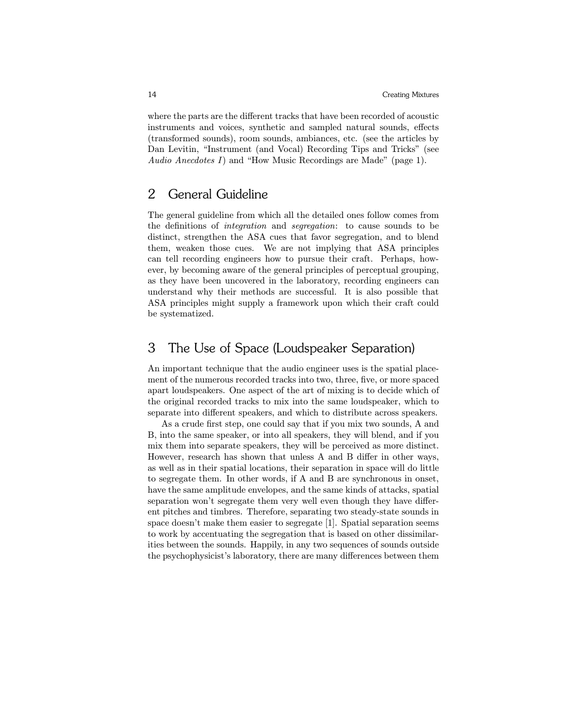where the parts are the different tracks that have been recorded of acoustic instruments and voices, synthetic and sampled natural sounds, effects (transformed sounds), room sounds, ambiances, etc. (see the articles by Dan Levitin, "Instrument (and Vocal) Recording Tips and Tricks" (see Audio Anecdotes  $I$ ) and "How Music Recordings are Made" (page 1).

# 2 General Guideline

The general guideline from which all the detailed ones follow comes from the definitions of integration and segregation: to cause sounds to be distinct, strengthen the ASA cues that favor segregation, and to blend them, weaken those cues. We are not implying that ASA principles can tell recording engineers how to pursue their craft. Perhaps, however, by becoming aware of the general principles of perceptual grouping, as they have been uncovered in the laboratory, recording engineers can understand why their methods are successful. It is also possible that ASA principles might supply a framework upon which their craft could be systematized.

# 3 The Use of Space (Loudspeaker Separation)

An important technique that the audio engineer uses is the spatial placement of the numerous recorded tracks into two, three, five, or more spaced apart loudspeakers. One aspect of the art of mixing is to decide which of the original recorded tracks to mix into the same loudspeaker, which to separate into different speakers, and which to distribute across speakers.

As a crude first step, one could say that if you mix two sounds, A and B, into the same speaker, or into all speakers, they will blend, and if you mix them into separate speakers, they will be perceived as more distinct. However, research has shown that unless A and B differ in other ways, as well as in their spatial locations, their separation in space will do little to segregate them. In other words, if A and B are synchronous in onset, have the same amplitude envelopes, and the same kinds of attacks, spatial separation won't segregate them very well even though they have different pitches and timbres. Therefore, separating two steady-state sounds in space doesn't make them easier to segregate [1]. Spatial separation seems to work by accentuating the segregation that is based on other dissimilarities between the sounds. Happily, in any two sequences of sounds outside the psychophysicist's laboratory, there are many differences between them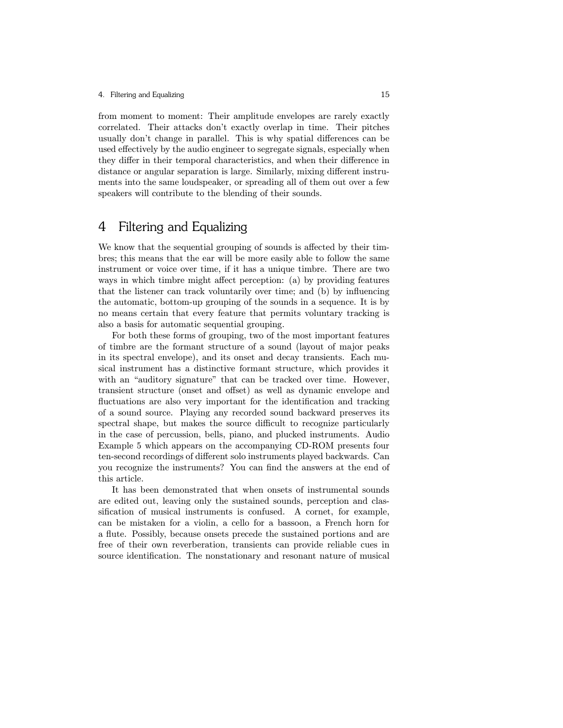#### 4. Filtering and Equalizing 15

from moment to moment: Their amplitude envelopes are rarely exactly correlated. Their attacks don't exactly overlap in time. Their pitches usually don't change in parallel. This is why spatial differences can be used effectively by the audio engineer to segregate signals, especially when they differ in their temporal characteristics, and when their difference in distance or angular separation is large. Similarly, mixing different instruments into the same loudspeaker, or spreading all of them out over a few speakers will contribute to the blending of their sounds.

### 4 Filtering and Equalizing

We know that the sequential grouping of sounds is affected by their timbres; this means that the ear will be more easily able to follow the same instrument or voice over time, if it has a unique timbre. There are two ways in which timbre might affect perception: (a) by providing features that the listener can track voluntarily over time; and (b) by influencing the automatic, bottom-up grouping of the sounds in a sequence. It is by no means certain that every feature that permits voluntary tracking is also a basis for automatic sequential grouping.

For both these forms of grouping, two of the most important features of timbre are the formant structure of a sound (layout of major peaks in its spectral envelope), and its onset and decay transients. Each musical instrument has a distinctive formant structure, which provides it with an "auditory signature" that can be tracked over time. However, transient structure (onset and offset) as well as dynamic envelope and fluctuations are also very important for the identification and tracking of a sound source. Playing any recorded sound backward preserves its spectral shape, but makes the source difficult to recognize particularly in the case of percussion, bells, piano, and plucked instruments. Audio Example 5 which appears on the accompanying CD-ROM presents four ten-second recordings of different solo instruments played backwards. Can you recognize the instruments? You can find the answers at the end of this article.

It has been demonstrated that when onsets of instrumental sounds are edited out, leaving only the sustained sounds, perception and classification of musical instruments is confused. A cornet, for example, can be mistaken for a violin, a cello for a bassoon, a French horn for a flute. Possibly, because onsets precede the sustained portions and are free of their own reverberation, transients can provide reliable cues in source identification. The nonstationary and resonant nature of musical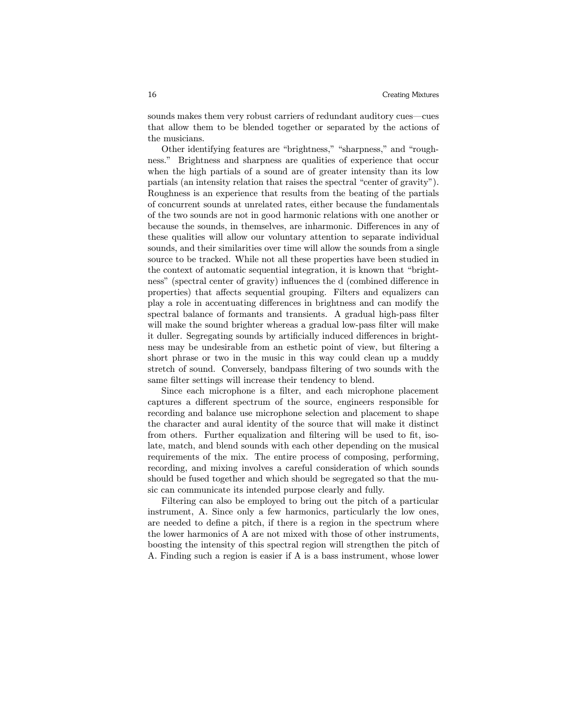sounds makes them very robust carriers of redundant auditory cues–cues that allow them to be blended together or separated by the actions of the musicians.

Other identifying features are "brightness," "sharpness," and "roughness." Brightness and sharpness are qualities of experience that occur when the high partials of a sound are of greater intensity than its low partials (an intensity relation that raises the spectral "center of gravity"). Roughness is an experience that results from the beating of the partials of concurrent sounds at unrelated rates, either because the fundamentals of the two sounds are not in good harmonic relations with one another or because the sounds, in themselves, are inharmonic. Differences in any of these qualities will allow our voluntary attention to separate individual sounds, and their similarities over time will allow the sounds from a single source to be tracked. While not all these properties have been studied in the context of automatic sequential integration, it is known that "brightness" (spectral center of gravity) influences the d (combined difference in properties) that affects sequential grouping. Filters and equalizers can play a role in accentuating differences in brightness and can modify the spectral balance of formants and transients. A gradual high-pass filter will make the sound brighter whereas a gradual low-pass filter will make it duller. Segregating sounds by artificially induced differences in brightness may be undesirable from an esthetic point of view, but filtering a short phrase or two in the music in this way could clean up a muddy stretch of sound. Conversely, bandpass filtering of two sounds with the same filter settings will increase their tendency to blend.

Since each microphone is a filter, and each microphone placement captures a different spectrum of the source, engineers responsible for recording and balance use microphone selection and placement to shape the character and aural identity of the source that will make it distinct from others. Further equalization and filtering will be used to fit, isolate, match, and blend sounds with each other depending on the musical requirements of the mix. The entire process of composing, performing, recording, and mixing involves a careful consideration of which sounds should be fused together and which should be segregated so that the music can communicate its intended purpose clearly and fully.

Filtering can also be employed to bring out the pitch of a particular instrument, A. Since only a few harmonics, particularly the low ones, are needed to define a pitch, if there is a region in the spectrum where the lower harmonics of A are not mixed with those of other instruments, boosting the intensity of this spectral region will strengthen the pitch of A. Finding such a region is easier if A is a bass instrument, whose lower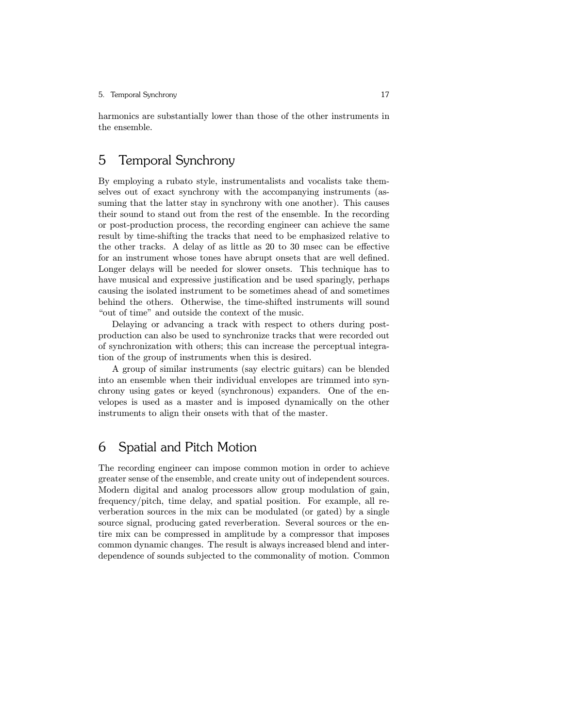harmonics are substantially lower than those of the other instruments in the ensemble.

# 5 Temporal Synchrony

By employing a rubato style, instrumentalists and vocalists take themselves out of exact synchrony with the accompanying instruments (assuming that the latter stay in synchrony with one another). This causes their sound to stand out from the rest of the ensemble. In the recording or post-production process, the recording engineer can achieve the same result by time-shifting the tracks that need to be emphasized relative to the other tracks. A delay of as little as 20 to 30 msec can be effective for an instrument whose tones have abrupt onsets that are well defined. Longer delays will be needed for slower onsets. This technique has to have musical and expressive justification and be used sparingly, perhaps causing the isolated instrument to be sometimes ahead of and sometimes behind the others. Otherwise, the time-shifted instruments will sound "out of time" and outside the context of the music.

Delaying or advancing a track with respect to others during postproduction can also be used to synchronize tracks that were recorded out of synchronization with others; this can increase the perceptual integration of the group of instruments when this is desired.

A group of similar instruments (say electric guitars) can be blended into an ensemble when their individual envelopes are trimmed into synchrony using gates or keyed (synchronous) expanders. One of the envelopes is used as a master and is imposed dynamically on the other instruments to align their onsets with that of the master.

# 6 Spatial and Pitch Motion

The recording engineer can impose common motion in order to achieve greater sense of the ensemble, and create unity out of independent sources. Modern digital and analog processors allow group modulation of gain, frequency/pitch, time delay, and spatial position. For example, all reverberation sources in the mix can be modulated (or gated) by a single source signal, producing gated reverberation. Several sources or the entire mix can be compressed in amplitude by a compressor that imposes common dynamic changes. The result is always increased blend and interdependence of sounds subjected to the commonality of motion. Common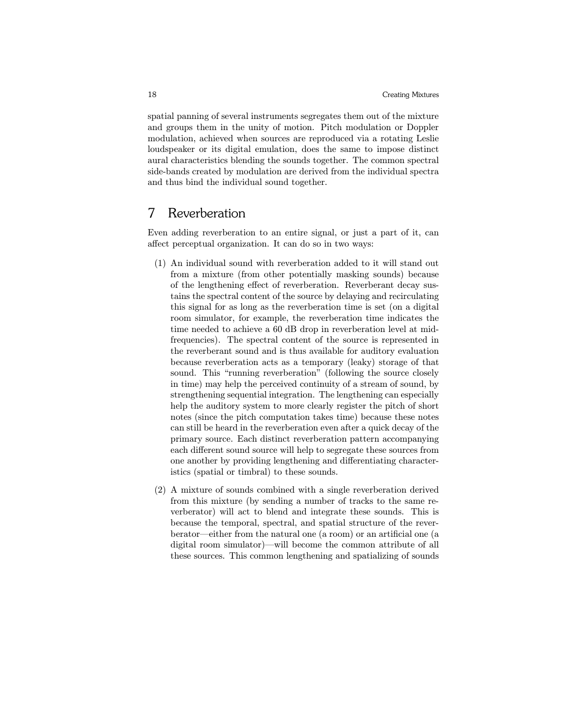spatial panning of several instruments segregates them out of the mixture and groups them in the unity of motion. Pitch modulation or Doppler modulation, achieved when sources are reproduced via a rotating Leslie loudspeaker or its digital emulation, does the same to impose distinct aural characteristics blending the sounds together. The common spectral side-bands created by modulation are derived from the individual spectra and thus bind the individual sound together.

### 7 Reverberation

Even adding reverberation to an entire signal, or just a part of it, can affect perceptual organization. It can do so in two ways:

- (1) An individual sound with reverberation added to it will stand out from a mixture (from other potentially masking sounds) because of the lengthening effect of reverberation. Reverberant decay sustains the spectral content of the source by delaying and recirculating this signal for as long as the reverberation time is set (on a digital room simulator, for example, the reverberation time indicates the time needed to achieve a 60 dB drop in reverberation level at midfrequencies). The spectral content of the source is represented in the reverberant sound and is thus available for auditory evaluation because reverberation acts as a temporary (leaky) storage of that sound. This "running reverberation" (following the source closely in time) may help the perceived continuity of a stream of sound, by strengthening sequential integration. The lengthening can especially help the auditory system to more clearly register the pitch of short notes (since the pitch computation takes time) because these notes can still be heard in the reverberation even after a quick decay of the primary source. Each distinct reverberation pattern accompanying each different sound source will help to segregate these sources from one another by providing lengthening and differentiating characteristics (spatial or timbral) to these sounds.
- (2) A mixture of sounds combined with a single reverberation derived from this mixture (by sending a number of tracks to the same reverberator) will act to blend and integrate these sounds. This is because the temporal, spectral, and spatial structure of the reverberator–either from the natural one (a room) or an artificial one (a digital room simulator)–will become the common attribute of all these sources. This common lengthening and spatializing of sounds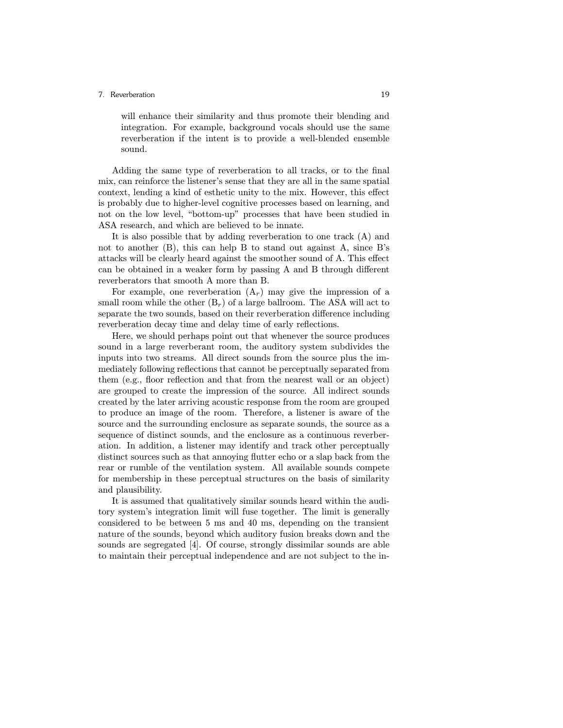#### 7. Reverberation 19

will enhance their similarity and thus promote their blending and integration. For example, background vocals should use the same reverberation if the intent is to provide a well-blended ensemble sound.

Adding the same type of reverberation to all tracks, or to the final mix, can reinforce the listener's sense that they are all in the same spatial context, lending a kind of esthetic unity to the mix. However, this effect is probably due to higher-level cognitive processes based on learning, and not on the low level, "bottom-up" processes that have been studied in ASA research, and which are believed to be innate.

It is also possible that by adding reverberation to one track (A) and not to another (B), this can help B to stand out against A, since B's attacks will be clearly heard against the smoother sound of A. This effect can be obtained in a weaker form by passing A and B through different reverberators that smooth A more than B.

For example, one reverberation  $(A_r)$  may give the impression of a small room while the other  $(B_r)$  of a large ballroom. The ASA will act to separate the two sounds, based on their reverberation difference including reverberation decay time and delay time of early reflections.

Here, we should perhaps point out that whenever the source produces sound in a large reverberant room, the auditory system subdivides the inputs into two streams. All direct sounds from the source plus the immediately following reflections that cannot be perceptually separated from them (e.g., floor reflection and that from the nearest wall or an object) are grouped to create the impression of the source. All indirect sounds created by the later arriving acoustic response from the room are grouped to produce an image of the room. Therefore, a listener is aware of the source and the surrounding enclosure as separate sounds, the source as a sequence of distinct sounds, and the enclosure as a continuous reverberation. In addition, a listener may identify and track other perceptually distinct sources such as that annoying flutter echo or a slap back from the rear or rumble of the ventilation system. All available sounds compete for membership in these perceptual structures on the basis of similarity and plausibility.

It is assumed that qualitatively similar sounds heard within the auditory system's integration limit will fuse together. The limit is generally considered to be between 5 ms and 40 ms, depending on the transient nature of the sounds, beyond which auditory fusion breaks down and the sounds are segregated [4]. Of course, strongly dissimilar sounds are able to maintain their perceptual independence and are not subject to the in-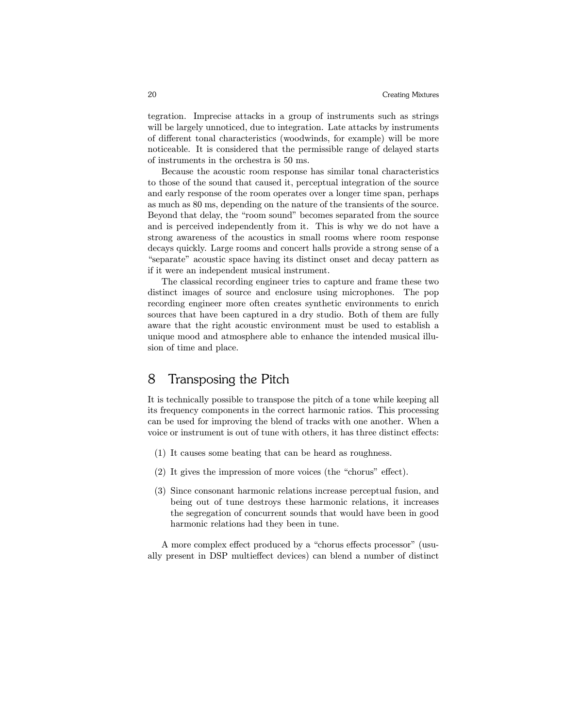tegration. Imprecise attacks in a group of instruments such as strings will be largely unnoticed, due to integration. Late attacks by instruments of different tonal characteristics (woodwinds, for example) will be more noticeable. It is considered that the permissible range of delayed starts of instruments in the orchestra is 50 ms.

Because the acoustic room response has similar tonal characteristics to those of the sound that caused it, perceptual integration of the source and early response of the room operates over a longer time span, perhaps as much as 80 ms, depending on the nature of the transients of the source. Beyond that delay, the "room sound" becomes separated from the source and is perceived independently from it. This is why we do not have a strong awareness of the acoustics in small rooms where room response decays quickly. Large rooms and concert halls provide a strong sense of a "separate" acoustic space having its distinct onset and decay pattern as if it were an independent musical instrument.

The classical recording engineer tries to capture and frame these two distinct images of source and enclosure using microphones. The pop recording engineer more often creates synthetic environments to enrich sources that have been captured in a dry studio. Both of them are fully aware that the right acoustic environment must be used to establish a unique mood and atmosphere able to enhance the intended musical illusion of time and place.

# 8 Transposing the Pitch

It is technically possible to transpose the pitch of a tone while keeping all its frequency components in the correct harmonic ratios. This processing can be used for improving the blend of tracks with one another. When a voice or instrument is out of tune with others, it has three distinct effects:

- (1) It causes some beating that can be heard as roughness.
- (2) It gives the impression of more voices (the "chorus" effect).
- (3) Since consonant harmonic relations increase perceptual fusion, and being out of tune destroys these harmonic relations, it increases the segregation of concurrent sounds that would have been in good harmonic relations had they been in tune.

A more complex effect produced by a "chorus effects processor" (usually present in DSP multieffect devices) can blend a number of distinct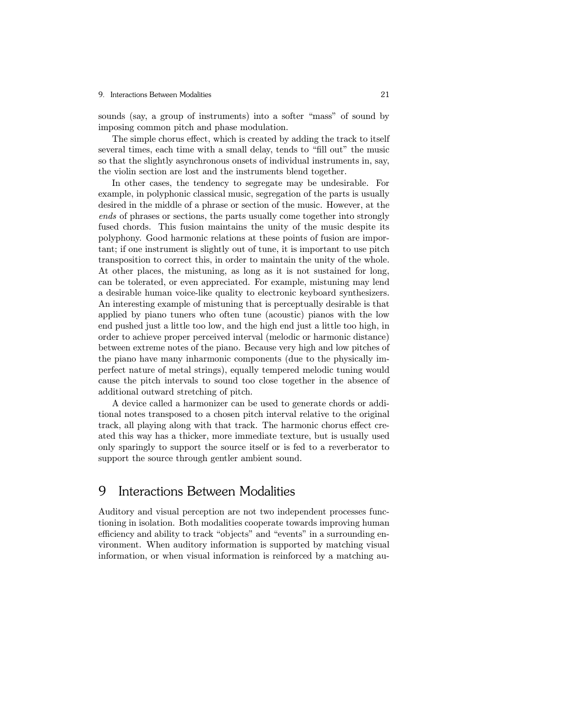#### 9. Interactions Between Modalities 21

sounds (say, a group of instruments) into a softer "mass" of sound by imposing common pitch and phase modulation.

The simple chorus effect, which is created by adding the track to itself several times, each time with a small delay, tends to "fill out" the music so that the slightly asynchronous onsets of individual instruments in, say, the violin section are lost and the instruments blend together.

In other cases, the tendency to segregate may be undesirable. For example, in polyphonic classical music, segregation of the parts is usually desired in the middle of a phrase or section of the music. However, at the ends of phrases or sections, the parts usually come together into strongly fused chords. This fusion maintains the unity of the music despite its polyphony. Good harmonic relations at these points of fusion are important; if one instrument is slightly out of tune, it is important to use pitch transposition to correct this, in order to maintain the unity of the whole. At other places, the mistuning, as long as it is not sustained for long, can be tolerated, or even appreciated. For example, mistuning may lend a desirable human voice-like quality to electronic keyboard synthesizers. An interesting example of mistuning that is perceptually desirable is that applied by piano tuners who often tune (acoustic) pianos with the low end pushed just a little too low, and the high end just a little too high, in order to achieve proper perceived interval (melodic or harmonic distance) between extreme notes of the piano. Because very high and low pitches of the piano have many inharmonic components (due to the physically imperfect nature of metal strings), equally tempered melodic tuning would cause the pitch intervals to sound too close together in the absence of additional outward stretching of pitch.

A device called a harmonizer can be used to generate chords or additional notes transposed to a chosen pitch interval relative to the original track, all playing along with that track. The harmonic chorus effect created this way has a thicker, more immediate texture, but is usually used only sparingly to support the source itself or is fed to a reverberator to support the source through gentler ambient sound.

### 9 Interactions Between Modalities

Auditory and visual perception are not two independent processes functioning in isolation. Both modalities cooperate towards improving human efficiency and ability to track "objects" and "events" in a surrounding environment. When auditory information is supported by matching visual information, or when visual information is reinforced by a matching au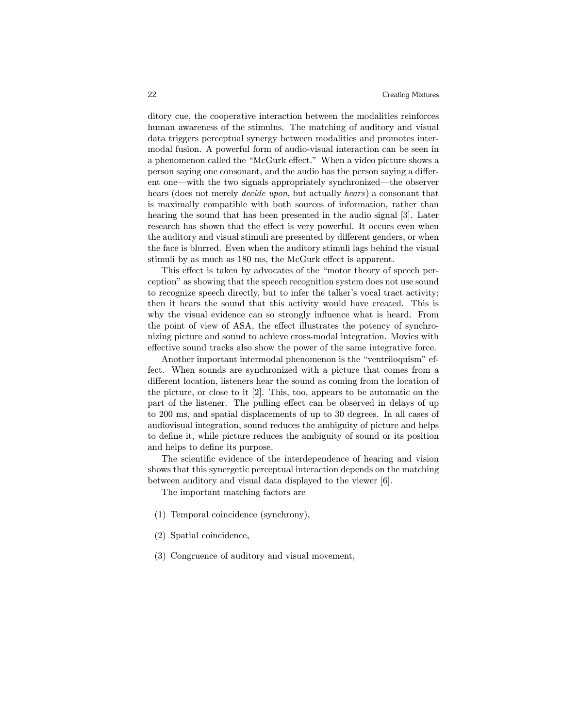ditory cue, the cooperative interaction between the modalities reinforces human awareness of the stimulus. The matching of auditory and visual data triggers perceptual synergy between modalities and promotes intermodal fusion. A powerful form of audio-visual interaction can be seen in a phenomenon called the "McGurk effect." When a video picture shows a person saying one consonant, and the audio has the person saying a different one–with the two signals appropriately synchronized–the observer hears (does not merely decide upon, but actually hears) a consonant that is maximally compatible with both sources of information, rather than hearing the sound that has been presented in the audio signal [3]. Later research has shown that the effect is very powerful. It occurs even when the auditory and visual stimuli are presented by different genders, or when the face is blurred. Even when the auditory stimuli lags behind the visual stimuli by as much as 180 ms, the McGurk effect is apparent.

This effect is taken by advocates of the "motor theory of speech perception" as showing that the speech recognition system does not use sound to recognize speech directly, but to infer the talker's vocal tract activity; then it hears the sound that this activity would have created. This is why the visual evidence can so strongly influence what is heard. From the point of view of ASA, the effect illustrates the potency of synchronizing picture and sound to achieve cross-modal integration. Movies with effective sound tracks also show the power of the same integrative force.

Another important intermodal phenomenon is the "ventriloquism" effect. When sounds are synchronized with a picture that comes from a different location, listeners hear the sound as coming from the location of the picture, or close to it [2]. This, too, appears to be automatic on the part of the listener. The pulling effect can be observed in delays of up to 200 ms, and spatial displacements of up to 30 degrees. In all cases of audiovisual integration, sound reduces the ambiguity of picture and helps to define it, while picture reduces the ambiguity of sound or its position and helps to define its purpose.

The scientific evidence of the interdependence of hearing and vision shows that this synergetic perceptual interaction depends on the matching between auditory and visual data displayed to the viewer [6].

The important matching factors are

- (1) Temporal coincidence (synchrony),
- (2) Spatial coincidence,
- (3) Congruence of auditory and visual movement,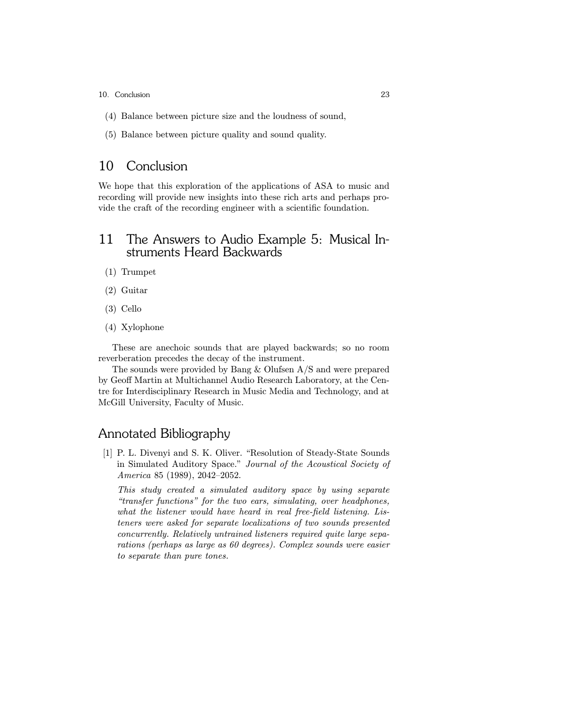#### 10. Conclusion 23

- (4) Balance between picture size and the loudness of sound,
- (5) Balance between picture quality and sound quality.

### 10 Conclusion

We hope that this exploration of the applications of ASA to music and recording will provide new insights into these rich arts and perhaps provide the craft of the recording engineer with a scientific foundation.

### 11 The Answers to Audio Example 5: Musical Instruments Heard Backwards

- (1) Trumpet
- (2) Guitar
- (3) Cello
- (4) Xylophone

These are anechoic sounds that are played backwards; so no room reverberation precedes the decay of the instrument.

The sounds were provided by Bang & Olufsen A/S and were prepared by Geoff Martin at Multichannel Audio Research Laboratory, at the Centre for Interdisciplinary Research in Music Media and Technology, and at McGill University, Faculty of Music.

# Annotated Bibliography

[1] P. L. Divenyi and S. K. Oliver. "Resolution of Steady-State Sounds in Simulated Auditory Space." Journal of the Acoustical Society of America 85 (1989), 2042—2052.

This study created a simulated auditory space by using separate "transfer functions" for the two ears, simulating, over headphones, what the listener would have heard in real free-field listening. Listeners were asked for separate localizations of two sounds presented concurrently. Relatively untrained listeners required quite large separations (perhaps as large as 60 degrees). Complex sounds were easier to separate than pure tones.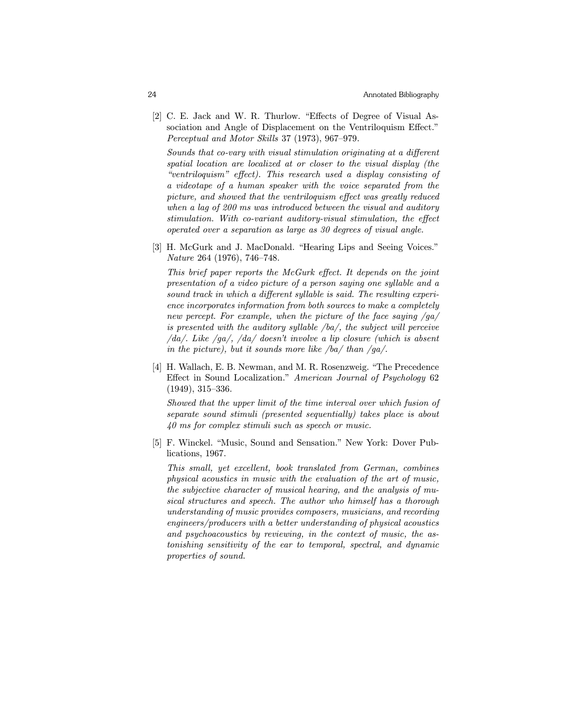[2] C. E. Jack and W. R. Thurlow. "Effects of Degree of Visual Association and Angle of Displacement on the Ventriloquism Effect." Perceptual and Motor Skills 37 (1973), 967—979.

Sounds that co-vary with visual stimulation originating at a different spatial location are localized at or closer to the visual display (the "ventriloquism" effect). This research used a display consisting of a videotape of a human speaker with the voice separated from the picture, and showed that the ventriloquism effect was greatly reduced when a lag of 200 ms was introduced between the visual and auditory stimulation. With co-variant auditory-visual stimulation, the effect operated over a separation as large as 30 degrees of visual angle.

[3] H. McGurk and J. MacDonald. "Hearing Lips and Seeing Voices." Nature 264 (1976), 746—748.

This brief paper reports the McGurk effect. It depends on the joint presentation of a video picture of a person saying one syllable and a sound track in which a different syllable is said. The resulting experience incorporates information from both sources to make a completely new percept. For example, when the picture of the face saying  $\sqrt{ga}$ is presented with the auditory syllable  $/ba/$ , the subject will perceive  $/da/$ . Like  $/ga/$ ,  $/da/$  doesn't involve a lip closure (which is absent in the picture), but it sounds more like  $/ba/$  than  $/ga/$ .

[4] H. Wallach, E. B. Newman, and M. R. Rosenzweig. "The Precedence Effect in Sound Localization." American Journal of Psychology 62 (1949), 315—336.

Showed that the upper limit of the time interval over which fusion of separate sound stimuli (presented sequentially) takes place is about 40 ms for complex stimuli such as speech or music.

[5] F. Winckel. "Music, Sound and Sensation." New York: Dover Publications, 1967.

This small, yet excellent, book translated from German, combines physical acoustics in music with the evaluation of the art of music, the subjective character of musical hearing, and the analysis of musical structures and speech. The author who himself has a thorough understanding of music provides composers, musicians, and recording engineers/producers with a better understanding of physical acoustics and psychoacoustics by reviewing, in the context of music, the astonishing sensitivity of the ear to temporal, spectral, and dynamic properties of sound.